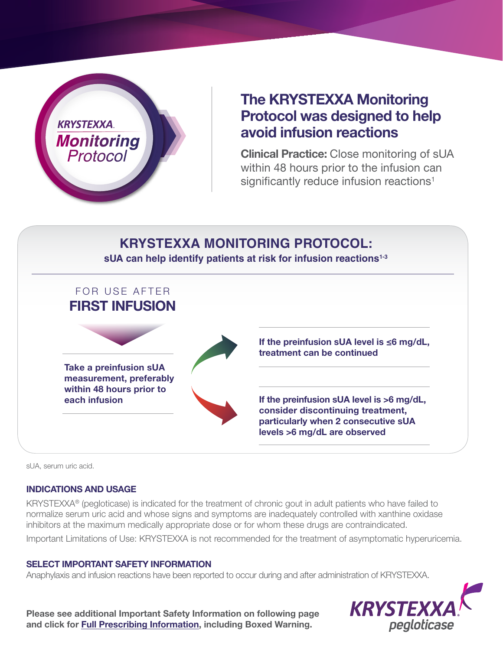

## **The KRYSTEXXA Monitoring Protocol was designed to help avoid infusion reactions**

**Clinical Practice:** Close monitoring of sUA within 48 hours prior to the infusion can significantly reduce infusion reactions<sup>1</sup>

## FOR USE AFTER **FIRST INFUSION Take a preinfusion sUA measurement, preferably within 48 hours prior to each infusion If the preinfusion sUA level is >6 mg/dL, consider discontinuing treatment, particularly when 2 consecutive sUA levels >6 mg/dL are observed If the preinfusion sUA level is ≤6 mg/dL, treatment can be continued KRYSTEXXA MONITORING PROTOCOL: sUA can help identify patients at risk for infusion reactions1-3**

sUA, serum uric acid.

#### **INDICATIONS AND USAGE**

KRYSTEXXA® (pegloticase) is indicated for the treatment of chronic gout in adult patients who have failed to normalize serum uric acid and whose signs and symptoms are inadequately controlled with xanthine oxidase inhibitors at the maximum medically appropriate dose or for whom these drugs are contraindicated. Important Limitations of Use: KRYSTEXXA is not recommended for the treatment of asymptomatic hyperuricemia.

#### **SELECT IMPORTANT SAFETY INFORMATION**

Anaphylaxis and infusion reactions have been reported to occur during and after administration of KRYSTEXXA.

**Please see additional Important Safety Information on following page and click for [Full Prescribing Information](https://www.hzndocs.com/KRYSTEXXA-Prescribing-Information.pdf), including Boxed Warning.**